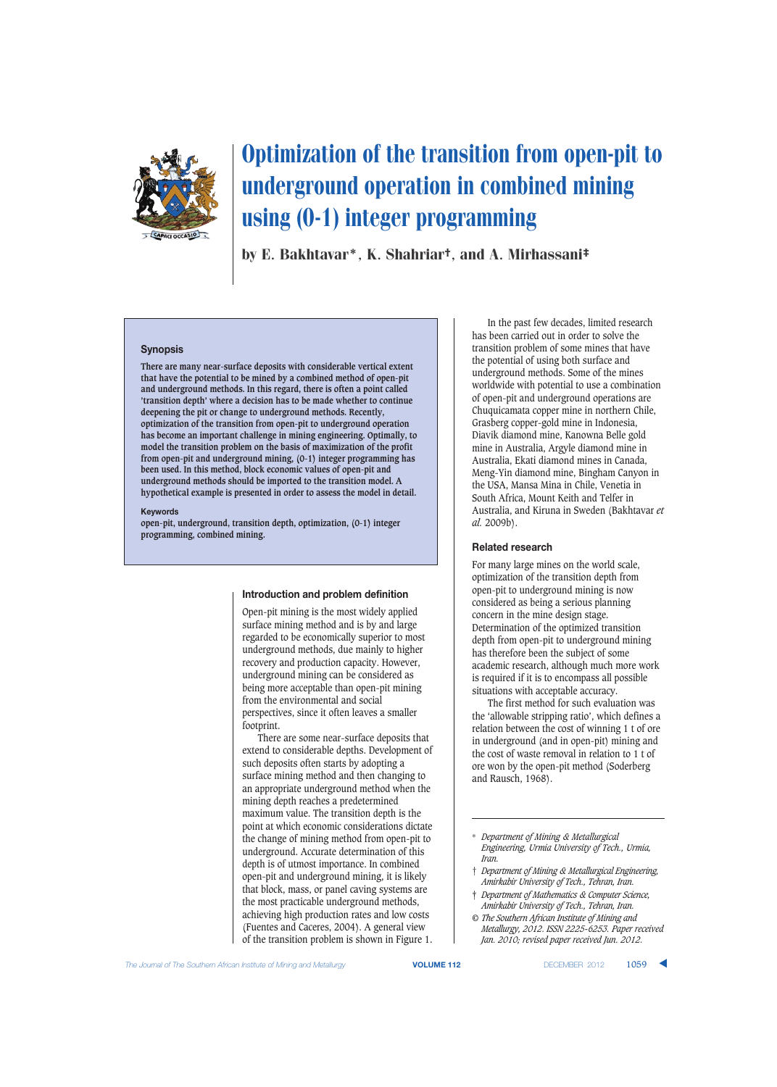

# Optimization of the transition from open-pit to underground operation in combined mining using (0-1) integer programming

by E. Bakhtavar\*, K. Shahriar†, and A. Mirhassani‡

## **Synopsis**

**There are many near-surface deposits with considerable vertical extent that have the potential to be mined by a combined method of open-pit and underground methods. In this regard, there is often a point called 'transition depth' where a decision has to be made whether to continue deepening the pit or change to underground methods. Recently, optimization of the transition from open-pit to underground operation has become an important challenge in mining engineering. Optimally, to model the transition problem on the basis of maximization of the profit from open-pit and underground mining, (0-1) integer programming has been used. In this method, block economic values of open-pit and underground methods should be imported to the transition model. A hypothetical example is presented in order to assess the model in detail.**

## **Keywords**

**open-pit, underground, transition depth, optimization, (0-1) integer programming, combined mining.**

# **Introduction and problem definition**

Open-pit mining is the most widely applied surface mining method and is by and large regarded to be economically superior to most underground methods, due mainly to higher recovery and production capacity. However, underground mining can be considered as being more acceptable than open-pit mining from the environmental and social perspectives, since it often leaves a smaller footprint.

There are some near-surface deposits that extend to considerable depths. Development of such deposits often starts by adopting a surface mining method and then changing to an appropriate underground method when the mining depth reaches a predetermined maximum value. The transition depth is the point at which economic considerations dictate the change of mining method from open-pit to underground. Accurate determination of this depth is of utmost importance. In combined open-pit and underground mining, it is likely that block, mass, or panel caving systems are the most practicable underground methods, achieving high production rates and low costs (Fuentes and Caceres, 2004). A general view of the transition problem is shown in Figure 1.

In the past few decades, limited research has been carried out in order to solve the transition problem of some mines that have the potential of using both surface and underground methods. Some of the mines worldwide with potential to use a combination of open-pit and underground operations are Chuquicamata copper mine in northern Chile, Grasberg copper-gold mine in Indonesia, Diavik diamond mine, Kanowna Belle gold mine in Australia, Argyle diamond mine in Australia, Ekati diamond mines in Canada, Meng-Yin diamond mine, Bingham Canyon in the USA, Mansa Mina in Chile, Venetia in South Africa, Mount Keith and Telfer in Australia, and Kiruna in Sweden (Bakhtavar *et al.* 2009b).

## **Related research**

For many large mines on the world scale, optimization of the transition depth from open-pit to underground mining is now considered as being a serious planning concern in the mine design stage. Determination of the optimized transition depth from open-pit to underground mining has therefore been the subject of some academic research, although much more work is required if it is to encompass all possible situations with acceptable accuracy.

The first method for such evaluation was the 'allowable stripping ratio', which defines a relation between the cost of winning 1 t of ore in underground (and in open-pit) mining and the cost of waste removal in relation to 1 t of ore won by the open-pit method (Soderberg and Rausch, 1968).

- † *Department of Mining & Metallurgical Engineering, Amirkabir University of Tech., Tehran, Iran.*
- ‡ *Department of Mathematics & Computer Science, Amirkabir University of Tech., Tehran, Iran.*
- *© The Southern African Institute of Mining and Metallurgy, 2012. ISSN 2225-6253. Paper received Jan. 2010; revised paper received Jun. 2012.*

<sup>\*</sup> *Department of Mining & Metallurgical Engineering, Urmia University of Tech., Urmia, Iran.*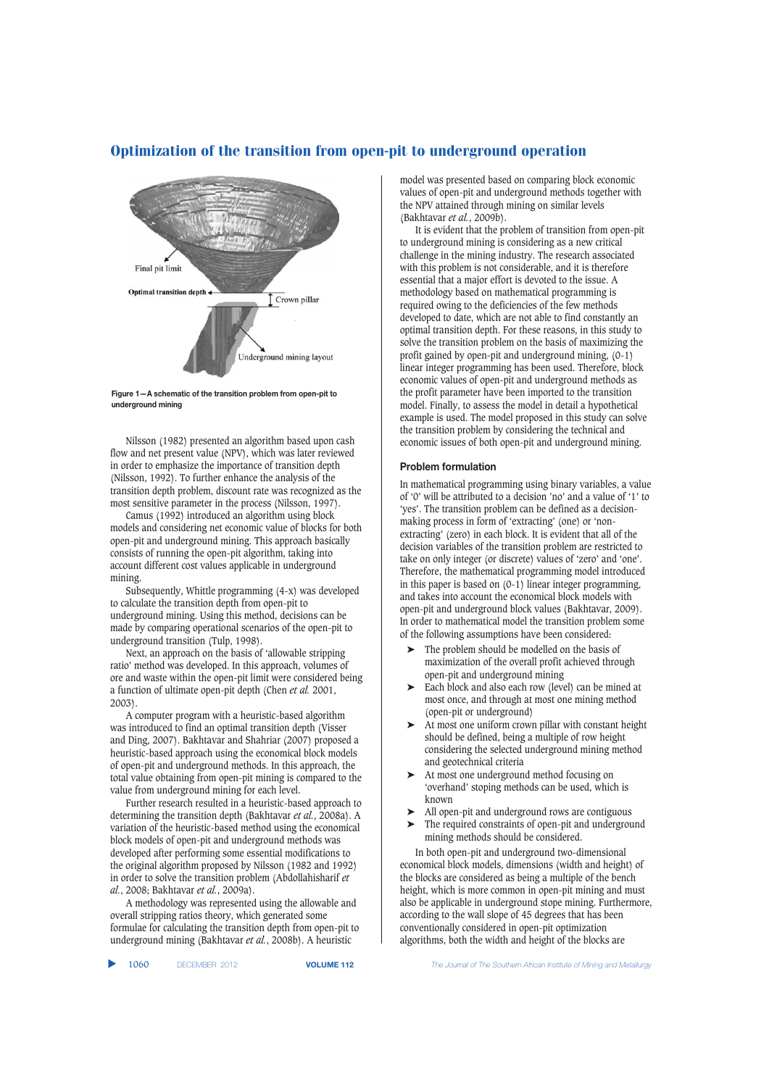

**Figure 1—A schematic of the transition problem from open-pit to underground mining**

Nilsson (1982) presented an algorithm based upon cash flow and net present value (NPV), which was later reviewed in order to emphasize the importance of transition depth (Nilsson, 1992). To further enhance the analysis of the transition depth problem, discount rate was recognized as the most sensitive parameter in the process (Nilsson, 1997).

Camus (1992) introduced an algorithm using block models and considering net economic value of blocks for both open-pit and underground mining. This approach basically consists of running the open-pit algorithm, taking into account different cost values applicable in underground mining.

Subsequently, Whittle programming (4-x) was developed to calculate the transition depth from open-pit to underground mining. Using this method, decisions can be made by comparing operational scenarios of the open-pit to underground transition (Tulp, 1998).

Next, an approach on the basis of 'allowable stripping ratio' method was developed. In this approach, volumes of ore and waste within the open-pit limit were considered being a function of ultimate open-pit depth (Chen *et al.* 2001, 2003).

A computer program with a heuristic-based algorithm was introduced to find an optimal transition depth (Visser and Ding, 2007). Bakhtavar and Shahriar (2007) proposed a heuristic-based approach using the economical block models of open-pit and underground methods. In this approach, the total value obtaining from open-pit mining is compared to the value from underground mining for each level.

Further research resulted in a heuristic-based approach to determining the transition depth (Bakhtavar *et al.*, 2008a). A variation of the heuristic-based method using the economical block models of open-pit and underground methods was developed after performing some essential modifications to the original algorithm proposed by Nilsson (1982 and 1992) in order to solve the transition problem (Abdollahisharif *et al.*, 2008; Bakhtavar *et al.*, 2009a).

A methodology was represented using the allowable and overall stripping ratios theory, which generated some formulae for calculating the transition depth from open-pit to underground mining (Bakhtavar *et al.*, 2008b). A heuristic

model was presented based on comparing block economic values of open-pit and underground methods together with the NPV attained through mining on similar levels (Bakhtavar *et al.*, 2009b).

It is evident that the problem of transition from open-pit to underground mining is considering as a new critical challenge in the mining industry. The research associated with this problem is not considerable, and it is therefore essential that a major effort is devoted to the issue. A methodology based on mathematical programming is required owing to the deficiencies of the few methods developed to date, which are not able to find constantly an optimal transition depth. For these reasons, in this study to solve the transition problem on the basis of maximizing the profit gained by open-pit and underground mining, (0-1) linear integer programming has been used. Therefore, block economic values of open-pit and underground methods as the profit parameter have been imported to the transition model. Finally, to assess the model in detail a hypothetical example is used. The model proposed in this study can solve the transition problem by considering the technical and economic issues of both open-pit and underground mining.

## **Problem formulation**

In mathematical programming using binary variables, a value of '0' will be attributed to a decision 'no' and a value of '1' to 'yes'. The transition problem can be defined as a decisionmaking process in form of 'extracting' (one) or 'nonextracting' (zero) in each block. It is evident that all of the decision variables of the transition problem are restricted to take on only integer (or discrete) values of 'zero' and 'one'. Therefore, the mathematical programming model introduced in this paper is based on (0-1) linear integer programming, and takes into account the economical block models with open-pit and underground block values (Bakhtavar, 2009). In order to mathematical model the transition problem some of the following assumptions have been considered:

- The problem should be modelled on the basis of maximization of the overall profit achieved through open-pit and underground mining
- Each block and also each row (level) can be mined at most once, and through at most one mining method (open-pit or underground)
- ➤ At most one uniform crown pillar with constant height should be defined, being a multiple of row height considering the selected underground mining method and geotechnical criteria
- ➤ At most one underground method focusing on 'overhand' stoping methods can be used, which is known
- ➤ All open-pit and underground rows are contiguous
- ➤ The required constraints of open-pit and underground mining methods should be considered.

In both open-pit and underground two-dimensional economical block models, dimensions (width and height) of the blocks are considered as being a multiple of the bench height, which is more common in open-pit mining and must also be applicable in underground stope mining. Furthermore, according to the wall slope of 45 degrees that has been conventionally considered in open-pit optimization algorithms, both the width and height of the blocks are

1060 DECEMBER 2012 **VOLUME 112** *The Journal of The Southern African Institute of Mining and Metallurgy*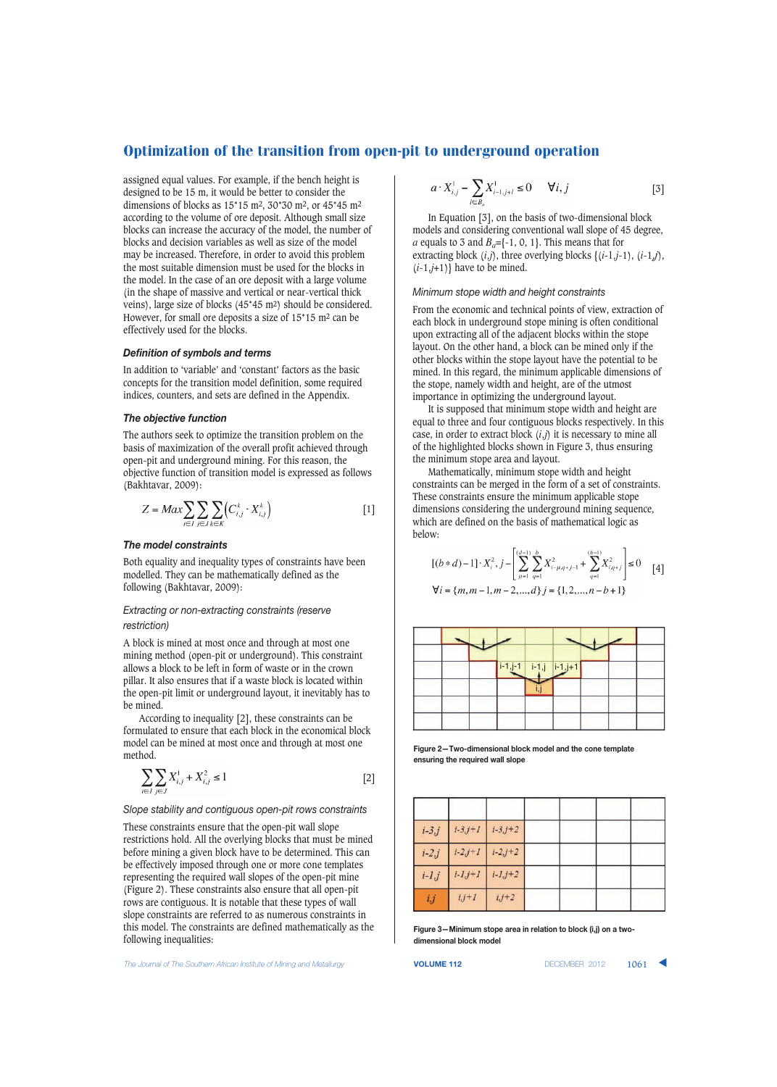assigned equal values. For example, if the bench height is designed to be 15 m, it would be better to consider the dimensions of blocks as 15\*15 m2, 30\*30 m2, or 45\*45 m2 according to the volume of ore deposit. Although small size blocks can increase the accuracy of the model, the number of blocks and decision variables as well as size of the model may be increased. Therefore, in order to avoid this problem the most suitable dimension must be used for the blocks in the model. In the case of an ore deposit with a large volume (in the shape of massive and vertical or near-vertical thick veins), large size of blocks (45\*45 m2) should be considered. However, for small ore deposits a size of 15\*15 m2 can be effectively used for the blocks.

#### *Definition of symbols and terms*

In addition to 'variable' and 'constant' factors as the basic concepts for the transition model definition, some required indices, counters, and sets are defined in the Appendix.

# *The objective function*

The authors seek to optimize the transition problem on the basis of maximization of the overall profit achieved through open-pit and underground mining. For this reason, the objective function of transition model is expressed as follows (Bakhtavar, 2009):

$$
Z = Max \sum_{i \in I} \sum_{j \in J} \sum_{k \in K} \left( C_{i,j}^k \cdot X_{i,j}^k \right) \tag{1}
$$

#### *The model constraints*

Both equality and inequality types of constraints have been modelled. They can be mathematically defined as the following (Bakhtavar, 2009):

# *Extracting or non-extracting constraints (reserve restriction)*

A block is mined at most once and through at most one mining method (open-pit or underground). This constraint allows a block to be left in form of waste or in the crown pillar. It also ensures that if a waste block is located within the open-pit limit or underground layout, it inevitably has to be mined.

According to inequality [2], these constraints can be formulated to ensure that each block in the economical block model can be mined at most once and through at most one method.

$$
\sum_{i \in I} \sum_{j \in J} X_{i,j}^1 + X_{i,j}^2 \le 1
$$
 [2]

*Slope stability and contiguous open-pit rows constraints*

These constraints ensure that the open-pit wall slope restrictions hold. All the overlying blocks that must be mined before mining a given block have to be determined. This can be effectively imposed through one or more cone templates representing the required wall slopes of the open-pit mine (Figure 2). These constraints also ensure that all open-pit rows are contiguous. It is notable that these types of wall slope constraints are referred to as numerous constraints in this model. The constraints are defined mathematically as the following inequalities:

*The Journal of The Southern African Institute of Mining and Metallurgy* **VOLUME 112** DECEMBER 2012 1061 ▲

$$
a \cdot X_{i,j}^1 - \sum_{l \in B_a} X_{i-l,j+l}^1 \le 0 \qquad \forall i, j \tag{3}
$$

In Equation [3], on the basis of two-dimensional block models and considering conventional wall slope of 45 degree, *a* equals to 3 and  $B_a = \{-1, 0, 1\}$ . This means that for extracting block (*i,j*), three overlying blocks {(*i*-1*,j*-1), (*i*-1,*j*),  $(i-1,j+1)$ } have to be mined.

#### *Minimum stope width and height constraints*

From the economic and technical points of view, extraction of each block in underground stope mining is often conditional upon extracting all of the adjacent blocks within the stope layout. On the other hand, a block can be mined only if the other blocks within the stope layout have the potential to be mined. In this regard, the minimum applicable dimensions of the stope, namely width and height, are of the utmost importance in optimizing the underground layout.

It is supposed that minimum stope width and height are equal to three and four contiguous blocks respectively. In this case, in order to extract block  $(i,j)$  it is necessary to mine all of the highlighted blocks shown in Figure 3, thus ensuring the minimum stope area and layout.

Mathematically, minimum stope width and height constraints can be merged in the form of a set of constraints. These constraints ensure the minimum applicable stope dimensions considering the underground mining sequence, which are defined on the basis of mathematical logic as below:

$$
[(b*d)-1] \cdot X_i^2, j - \left[ \sum_{\mu=1}^{(d-1)} \sum_{q=1}^b X_{i-\mu,q+j-1}^2 + \sum_{q=1}^{(b-1)} X_{i,q+j}^2 \right] \le 0
$$
  
\n
$$
\forall i = \{m, m-1, m-2, ..., d\} \ j = \{1, 2, ..., n-b+1\}
$$

i-1,j-1 i,j i-1,j i-1,j+1

**Figure 2—Two-dimensional block model and the cone template ensuring the required wall slope**

| $i - 3j$ | $i - 3j + 1$              | $i - 3j + 2$   |  |  |
|----------|---------------------------|----------------|--|--|
| $i-2,j$  | $i - 2j + 1$              | $i - 2j + 2$   |  |  |
| $i-1,j$  | $i\hbox{-} I,j\hbox{+} I$ | $i - 1, j + 2$ |  |  |
| $i,j$    | $i,j+1$                   | $i,j+2$        |  |  |

**Figure 3—Minimum stope area in relation to block (i,j) on a twodimensional block model**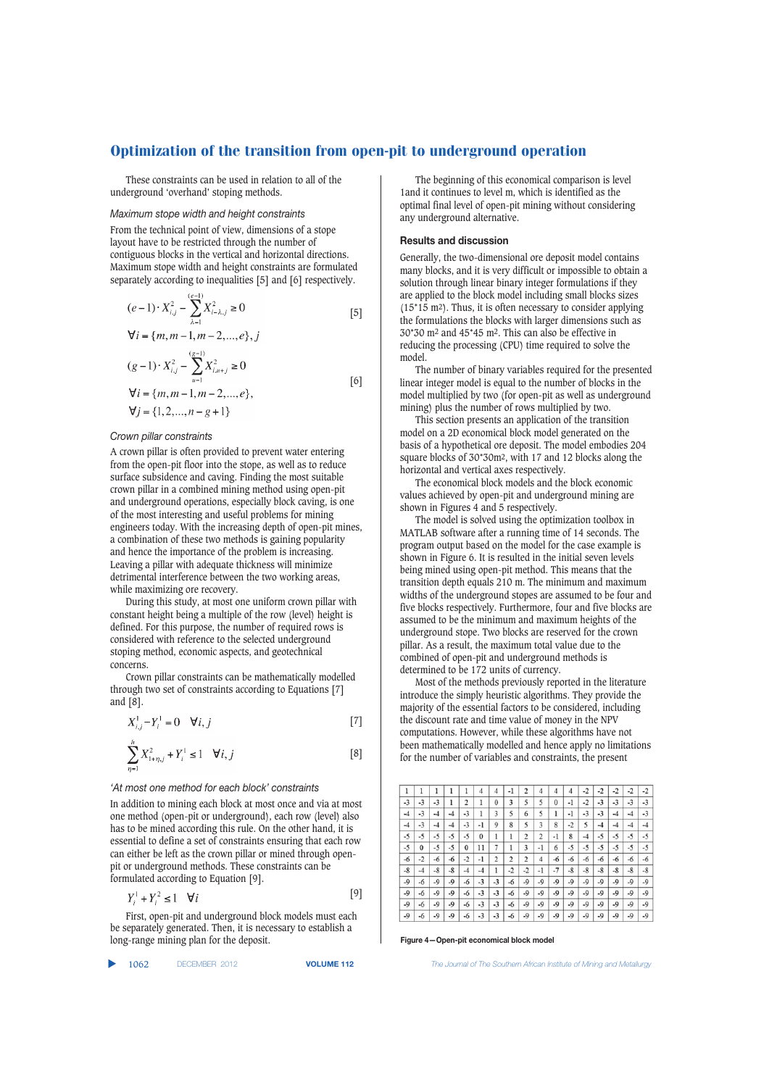These constraints can be used in relation to all of the underground 'overhand' stoping methods.

# *Maximum stope width and height constraints*

From the technical point of view, dimensions of a stope layout have to be restricted through the number of contiguous blocks in the vertical and horizontal directions. Maximum stope width and height constraints are formulated separately according to inequalities [5] and [6] respectively.

$$
(e-1) \cdot X_{i,j}^2 - \sum_{\lambda=1}^{(e-1)} X_{i-\lambda,j}^2 \ge 0
$$
\n
$$
\forall i = \{m, m-1, m-2, \dots, e\}, j
$$
\n
$$
(g-1) \cdot X_{i,j}^2 - \sum_{u=1}^{(g-1)} X_{i,u+j}^2 \ge 0
$$
\n
$$
\forall i = \{m, m-1, m-2, \dots, e\},
$$
\n
$$
\forall j = \{1, 2, \dots, n-g+1\}
$$
\n
$$
(6)
$$

#### *Crown pillar constraints*

A crown pillar is often provided to prevent water entering from the open-pit floor into the stope, as well as to reduce surface subsidence and caving. Finding the most suitable crown pillar in a combined mining method using open-pit and underground operations, especially block caving, is one of the most interesting and useful problems for mining engineers today. With the increasing depth of open-pit mines, a combination of these two methods is gaining popularity and hence the importance of the problem is increasing. Leaving a pillar with adequate thickness will minimize detrimental interference between the two working areas, while maximizing ore recovery.

During this study, at most one uniform crown pillar with constant height being a multiple of the row (level) height is defined. For this purpose, the number of required rows is considered with reference to the selected underground stoping method, economic aspects, and geotechnical concerns.

Crown pillar constraints can be mathematically modelled through two set of constraints according to Equations [7] and [8].

$$
X_{i,j}^1 - Y_i^1 = 0 \quad \forall i, j \tag{7}
$$

$$
\sum_{\eta=1}^{h} X_{1+\eta,j}^{2} + Y_{i}^{1} \le 1 \quad \forall i, j
$$
 [8]

#### *'At most one method for each block' constraints*

In addition to mining each block at most once and via at most one method (open-pit or underground), each row (level) also has to be mined according this rule. On the other hand, it is essential to define a set of constraints ensuring that each row can either be left as the crown pillar or mined through openpit or underground methods. These constraints can be formulated according to Equation [9].

$$
Y^1 + Y^2 \le 1 \quad \forall i \tag{9}
$$

First, open-pit and underground block models must each be separately generated. Then, it is necessary to establish a long-range mining plan for the deposit.

|  | 1062 | DECEMBER 2012 |  |
|--|------|---------------|--|
|--|------|---------------|--|

The beginning of this economical comparison is level 1and it continues to level m, which is identified as the optimal final level of open-pit mining without considering any underground alternative.

# **Results and discussion**

Generally, the two-dimensional ore deposit model contains many blocks, and it is very difficult or impossible to obtain a solution through linear binary integer formulations if they are applied to the block model including small blocks sizes (15\*15 m2). Thus, it is often necessary to consider applying the formulations the blocks with larger dimensions such as 30\*30 m2 and 45\*45 m2. This can also be effective in reducing the processing (CPU) time required to solve the model.

The number of binary variables required for the presented linear integer model is equal to the number of blocks in the model multiplied by two (for open-pit as well as underground mining) plus the number of rows multiplied by two.

This section presents an application of the transition model on a 2D economical block model generated on the basis of a hypothetical ore deposit. The model embodies 204 square blocks of 30\*30m2, with 17 and 12 blocks along the horizontal and vertical axes respectively.

The economical block models and the block economic values achieved by open-pit and underground mining are shown in Figures 4 and 5 respectively.

The model is solved using the optimization toolbox in MATLAB software after a running time of 14 seconds. The program output based on the model for the case example is shown in Figure 6. It is resulted in the initial seven levels being mined using open-pit method. This means that the transition depth equals 210 m. The minimum and maximum widths of the underground stopes are assumed to be four and five blocks respectively. Furthermore, four and five blocks are assumed to be the minimum and maximum heights of the underground stope. Two blocks are reserved for the crown pillar. As a result, the maximum total value due to the combined of open-pit and underground methods is determined to be 172 units of currency.

Most of the methods previously reported in the literature introduce the simply heuristic algorithms. They provide the majority of the essential factors to be considered, including the discount rate and time value of money in the NPV computations. However, while these algorithms have not been mathematically modelled and hence apply no limitations for the number of variables and constraints, the present

| 1    | 1        | 1    | 1    |          | 4    | 4              | $-1$           | $\overline{2}$ | 4              | 4        | $\overline{4}$ | $-2$ | $-2$ | $-2$ | $-2$ | $-2$ |
|------|----------|------|------|----------|------|----------------|----------------|----------------|----------------|----------|----------------|------|------|------|------|------|
| $-3$ | $-3$     | $-3$ | 1    | 2        | l    | 0              | 3              | 5              | 5              | $\bf{0}$ | -1             | $-2$ | $-3$ | -3   | $-3$ | $-3$ |
| $-4$ | $-3$     | $-4$ | $-4$ | $-3$     | 1    | 3              | 5              | 6              | 5              | l        | $-1$           | $-3$ | $-3$ | $-4$ | $-4$ | $-3$ |
| $-4$ | -3       | $-4$ | $-4$ | -3       | $-1$ | 9              | 8              | 5              | 3              | 8        | $-2$           | 5    | -4   | $-4$ | $-4$ | $-4$ |
| $-5$ | -5       | -5   | $-5$ | -5       | 0    | ı              | 1              | $\overline{c}$ | 2              | $-1$     | 8              | $-4$ | $-5$ | -5   | $-5$ | $-5$ |
| $-5$ | $\bf{0}$ | $-5$ | $-5$ | $\bf{0}$ | 11   | 7              |                | 3              | -1             | 6        | -5             | $-5$ | $-5$ | $-5$ | $-5$ | $-5$ |
| $-6$ | $-2$     | $-6$ | $-6$ | $-2$     | $-1$ | $\overline{c}$ | $\overline{2}$ | $\overline{2}$ | $\overline{4}$ | $-6$     | $-6$           | $-6$ | $-6$ | $-6$ | $-6$ | $-6$ |
| $-8$ | $-4$     | $-8$ | $-8$ | $-4$     | $-4$ | 1              | $-2$           | $-2$           | -1             | $-7$     | $-8$           | $-8$ | $-8$ | -8   | $-8$ | $-8$ |
| $-9$ | -6       | $-9$ | $-9$ | -6       | $-3$ | $-3$           | -6             | $-9$           | $-9$           | $-9$     | $-9$           | $-9$ | $-9$ | $-9$ | $-9$ | $-9$ |
| $-9$ | $-6$     | $-9$ | -9   | $-6$     | $-3$ | $-3$           | $-6$           | $-9$           | $-9$           | -9       | -9             | $-9$ | $-9$ | $-9$ | $-9$ | $-9$ |
| $-9$ | -6       | $-9$ | $-9$ | $-6$     | $-3$ | $-3$           | $-6$           | $-9$           | -9             | $-9$     | $-9$           | $-9$ | $-9$ | $-9$ | $-9$ | $-9$ |
| $-9$ | -6       | $-9$ | $-9$ | $-6$     | -3   | $-3$           | -6             | $-9$           | $-9$           | $-9$     | $-9$           | $-9$ | $-9$ | $-9$ | -9   | $-9$ |

**Figure 4—Open-pit economical block model**

**VOLUME 112** *The Journal of The Southern African Institute of Mining and Metallurgy*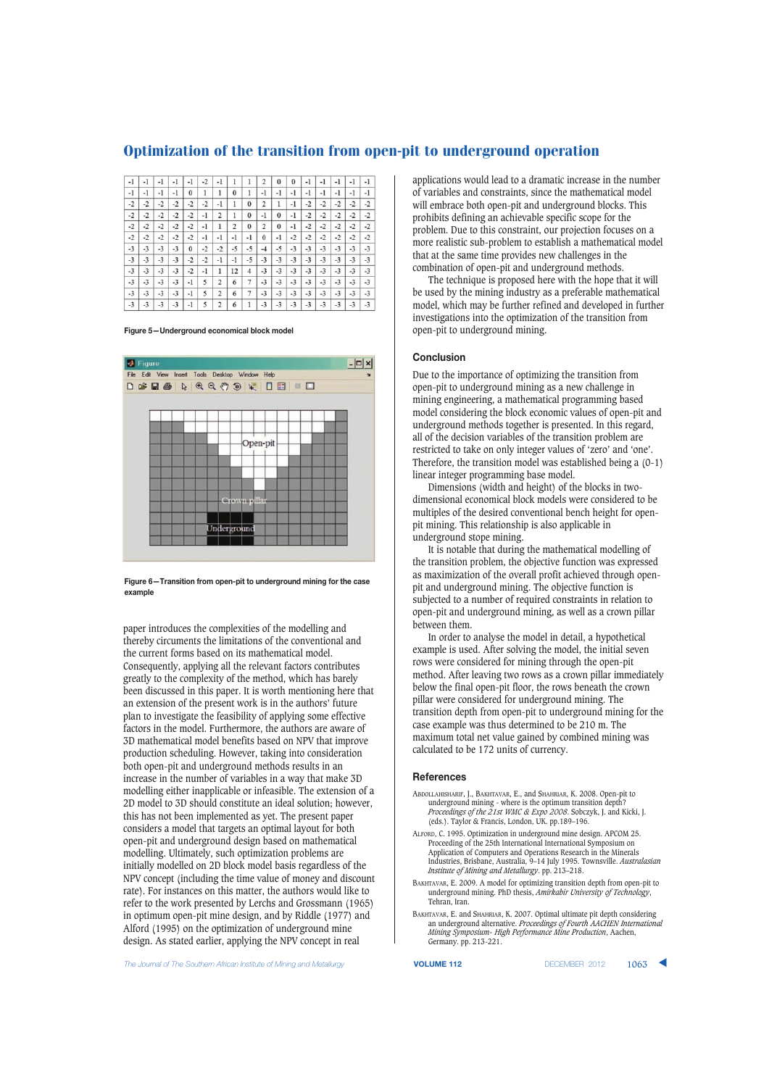| $-1$ | $-1$ | $-1$ | $-1$ | -1       | $-2$ | $-1$           |          |              | 2        | $\bf{0}$ | $\bf{0}$ | -1   | -1   | $-1$ | -1   | $-1$ |
|------|------|------|------|----------|------|----------------|----------|--------------|----------|----------|----------|------|------|------|------|------|
| $-1$ | $-1$ | $-1$ | $-1$ | $\bf{0}$ | 1    | 1              | $\bf{0}$ | 1            | $-1$     | $-1$     | $-1$     | -1   | $-1$ | -1   | -1   | $-1$ |
| $-2$ | $-2$ | $-2$ | $-2$ | $-2$     | $-2$ | $-1$           | 1        | $\bf{0}$     | 2        | 1        | $-1$     | $-2$ | $-2$ | $-2$ | $-2$ | $-2$ |
| $-2$ | $-2$ | $-2$ | $-2$ | $-2$     | $-1$ | $\overline{2}$ | ı        | $\mathbf{0}$ | -1       | $\bf{0}$ | -1       | $-2$ | $-2$ | $-2$ | $-2$ | $-2$ |
| $-2$ | $-2$ | $-2$ | $-2$ | $-2$     | -1   | 1              | 2        | $\mathbf{0}$ | 2        | $\bf{0}$ | -1       | $-2$ | $-2$ | $-2$ | $-2$ | $-2$ |
| $-2$ | $-2$ | $-2$ | $-2$ | $-2$     | -1   | -1             | $-1$     | -1           | $\bf{0}$ | -1       | $-2$     | $-2$ | $-2$ | $-2$ | $-2$ | $-2$ |
| $-3$ | $-3$ | $-3$ | $-3$ | $\bf{0}$ | $-2$ | $-2$           | -5       | $-5$         | $-4$     | $-5$     | $-3$     | $-3$ | $-3$ | $-3$ | $-3$ | $-3$ |
| $-3$ | $-3$ | $-3$ | $-3$ | $-2$     | $-2$ | $-1$           | $-1$     | $-5$         | $-3$     | $-3$     | $-3$     | $-3$ | $-3$ | $-3$ | $-3$ | $-3$ |
| $-3$ | $-3$ | $-3$ | $-3$ | $-2$     | -1   | 1              | 12       | 4            | $-3$     | $-3$     | $-3$     | $-3$ | $-3$ | $-3$ | $-3$ | $-3$ |
| $-3$ | $-3$ | $-3$ | $-3$ | -1       | 5    | $\overline{2}$ | 6        | 7            | $-3$     | $-3$     | $-3$     | $-3$ | $-3$ | $-3$ | $-3$ | $-3$ |
| $-3$ | $-3$ | $-3$ | $-3$ | $-1$     | 5    | $\overline{2}$ | 6        | 7            | $-3$     | $-3$     | $-3$     | $-3$ | $-3$ | $-3$ | $-3$ | $-3$ |
| $-3$ | $-3$ | $-3$ | $-3$ | -1       | 5    | $\overline{2}$ | 6        | 1            | $-3$     | $-3$     | $-3$     | $-3$ | $-3$ | $-3$ | $-3$ | $-3$ |

**Figure 5—Underground economical block model**



**Figure 6—Transition from open-pit to underground mining for the case example**

paper introduces the complexities of the modelling and thereby circuments the limitations of the conventional and the current forms based on its mathematical model. Consequently, applying all the relevant factors contributes greatly to the complexity of the method, which has barely been discussed in this paper. It is worth mentioning here that an extension of the present work is in the authors' future plan to investigate the feasibility of applying some effective factors in the model. Furthermore, the authors are aware of 3D mathematical model benefits based on NPV that improve production scheduling. However, taking into consideration both open-pit and underground methods results in an increase in the number of variables in a way that make 3D modelling either inapplicable or infeasible. The extension of a 2D model to 3D should constitute an ideal solution; however, this has not been implemented as yet. The present paper considers a model that targets an optimal layout for both open-pit and underground design based on mathematical modelling. Ultimately, such optimization problems are initially modelled on 2D block model basis regardless of the NPV concept (including the time value of money and discount rate). For instances on this matter, the authors would like to refer to the work presented by Lerchs and Grossmann (1965) in optimum open-pit mine design, and by Riddle (1977) and Alford (1995) on the optimization of underground mine design. As stated earlier, applying the NPV concept in real

applications would lead to a dramatic increase in the number of variables and constraints, since the mathematical model will embrace both open-pit and underground blocks. This prohibits defining an achievable specific scope for the problem. Due to this constraint, our projection focuses on a more realistic sub-problem to establish a mathematical model that at the same time provides new challenges in the combination of open-pit and underground methods.

The technique is proposed here with the hope that it will be used by the mining industry as a preferable mathematical model, which may be further refined and developed in further investigations into the optimization of the transition from open-pit to underground mining.

# **Conclusion**

Due to the importance of optimizing the transition from open-pit to underground mining as a new challenge in mining engineering, a mathematical programming based model considering the block economic values of open-pit and underground methods together is presented. In this regard, all of the decision variables of the transition problem are restricted to take on only integer values of 'zero' and 'one'. Therefore, the transition model was established being a (0-1) linear integer programming base model.

Dimensions (width and height) of the blocks in twodimensional economical block models were considered to be multiples of the desired conventional bench height for openpit mining. This relationship is also applicable in underground stope mining.

It is notable that during the mathematical modelling of the transition problem, the objective function was expressed as maximization of the overall profit achieved through openpit and underground mining. The objective function is subjected to a number of required constraints in relation to open-pit and underground mining, as well as a crown pillar between them.

In order to analyse the model in detail, a hypothetical example is used. After solving the model, the initial seven rows were considered for mining through the open-pit method. After leaving two rows as a crown pillar immediately below the final open-pit floor, the rows beneath the crown pillar were considered for underground mining. The transition depth from open-pit to underground mining for the case example was thus determined to be 210 m. The maximum total net value gained by combined mining was calculated to be 172 units of currency.

#### **References**

- ABDOLLAHISHARIF, J., BAKHTAVAR, E., and SHAHRIAR, K. 2008. Open-pit to underground mining - where is the optimum transition depth? *Proceedings of the 21st WMC & Expo 2008*. Sobczyk, J. and Kicki, J. (eds.). Taylor & Francis, London, UK. pp.189–196.
- ALFORD, C. 1995. Optimization in underground mine design. APCOM 25. Proceeding of the 25th International International Symposium on Application of Computers and Operations Research in the Minerals Industries, Brisbane, Australia, 9–14 July 1995. Townsville. *Australasian Institute of Mining and Metallurgy*. pp. 213–218.
- BAKHTAVAR, E. 2009. A model for optimizing transition depth from open-pit to underground mining. PhD thesis, *Amirkabir University of Technology*, Tehran, Iran.
- BAKHTAVAR, E. and SHAHRIAR, K. 2007. Optimal ultimate pit depth considering an underground alternative. *Proceedings of Fourth AACHEN Internation*<br>an underground alternative. *Proceedings of Fourth AACHEN Internation Mining Symposium- High Performance Mine Production*, Aachen, Germany. pp. 213-221.

**The Journal of The Southern African Institute of Mining and Metallurgy <b>VOLUME 112 VOLUME 112 DECEMBER 2012 1063**